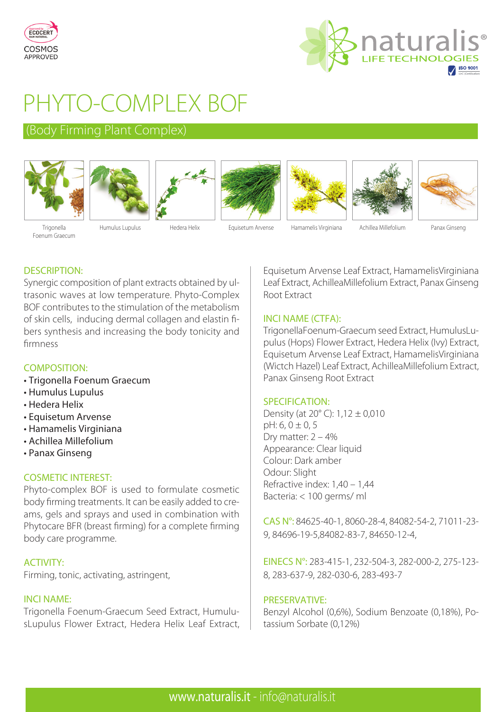



# PHYTO-COMPLEX BOF

# (Body Firming Plant Complex)













**Trigonella** Foenum Graecum

Humulus Lupulus Hedera Helix Equisetum Arvense Hamamelis Virginiana Achillea Millefolium Panax Ginseng

# DESCRIPTION:

Synergic composition of plant extracts obtained by ultrasonic waves at low temperature. Phyto-Complex BOF contributes to the stimulation of the metabolism of skin cells, inducing dermal collagen and elastin fibers synthesis and increasing the body tonicity and firmness

# COMPOSITION:

- Trigonella Foenum Graecum
- Humulus Lupulus
- Hedera Helix
- Equisetum Arvense
- Hamamelis Virginiana
- Achillea Millefolium
- Panax Ginseng

# COSMETIC INTEREST:

Phyto-complex BOF is used to formulate cosmetic body firming treatments. It can be easily added to creams, gels and sprays and used in combination with Phytocare BFR (breast firming) for a complete firming body care programme.

# ACTIVITY:

Firming, tonic, activating, astringent,

#### INCI NAME:

Trigonella Foenum-Graecum Seed Extract, HumulusLupulus Flower Extract, Hedera Helix Leaf Extract, Equisetum Arvense Leaf Extract, HamamelisVirginiana Leaf Extract, AchilleaMillefolium Extract, Panax Ginseng Root Extract

#### INCI NAME (CTFA):

TrigonellaFoenum-Graecum seed Extract, HumulusLupulus (Hops) Flower Extract, Hedera Helix (Ivy) Extract, Equisetum Arvense Leaf Extract, HamamelisVirginiana (Wictch Hazel) Leaf Extract, AchilleaMillefolium Extract, Panax Ginseng Root Extract

#### SPECIFICATION:

Density (at 20° C): 1,12 ± 0,010  $pH: 6, 0 \pm 0, 5$ Dry matter: 2 – 4% Appearance: Clear liquid Colour: Dark amber Odour: Slight Refractive index: 1,40 – 1,44 Bacteria: < 100 germs/ ml

CAS N°: 84625-40-1, 8060-28-4, 84082-54-2, 71011-23- 9, 84696-19-5,84082-83-7, 84650-12-4,

EINECS N°: 283-415-1, 232-504-3, 282-000-2, 275-123- 8, 283-637-9, 282-030-6, 283-493-7

#### PRESERVATIVE:

Benzyl Alcohol (0,6%), Sodium Benzoate (0,18%), Potassium Sorbate (0,12%)